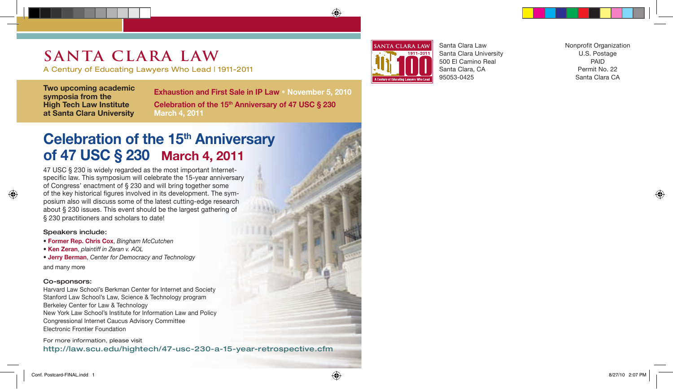# **SANTA CLARA LAW**

A Century of Educating Lawyers Who Lead | 1911-2011

**Two upcoming academic symposia from the High Tech Law Institute at Santa Clara University**

**Exhaustion and First Sale in IP Law • November 5, 2010 Celebration of the 15th Anniversary of 47 USC § 230 March 4, 2011**

## **Celebration of the 15<sup>th</sup> Anniversary of 47 USC § 230 March 4, 2011**

47 USC § 230 is widely regarded as the most important Internetspecific law. This symposium will celebrate the 15-year anniversary of Congress' enactment of § 230 and will bring together some of the key historical figures involved in its development. The symposium also will discuss some of the latest cutting-edge research about § 230 issues. This event should be the largest gathering of § 230 practitioners and scholars to date!

#### Speakers include:

- **Former Rep. Chris Cox**, *Bingham McCutchen*
- **Ken Zeran**, *plaintiff in Zeran v. AOL*
- **Jerry Berman**, *Center for Democracy and Technology*

and many more

## Co-sponsors:

Harvard Law School's Berkman Center for Internet and Society Stanford Law School's Law, Science & Technology program Berkeley Center for Law & Technology New York Law School's Institute for Information Law and Policy Congressional Internet Caucus Advisory Committee Electronic Frontier Foundation

For more information, please visit http://law.scu.edu/hightech/47-usc-230-a-15-year-retrospective.cfm



Santa Clara Law Santa Clara University 500 El Camino Real Santa Clara, CA 95053-0425

Nonprofit Organization U.S. Postage PAID Permit No. 22 Santa Clara CA